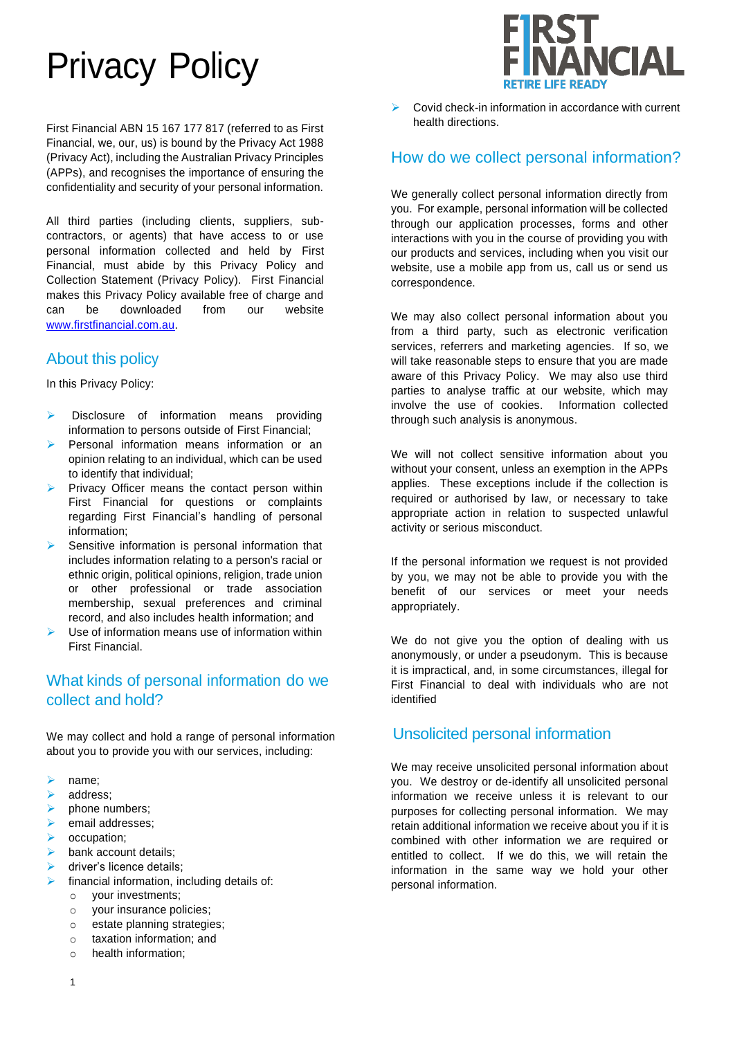# Privacy Policy

First Financial ABN 15 167 177 817 (referred to as First Financial, we, our, us) is bound by the Privacy Act 1988 (Privacy Act), including the Australian Privacy Principles (APPs), and recognises the importance of ensuring the confidentiality and security of your personal information.

All third parties (including clients, suppliers, subcontractors, or agents) that have access to or use personal information collected and held by First Financial, must abide by this Privacy Policy and Collection Statement (Privacy Policy). First Financial makes this Privacy Policy available free of charge and can be downloaded from our website [www.firstfinancial.com.au.](http://www.firstfinancial.com.au/)

# About this policy

In this Privacy Policy:

- Disclosure of information means providing information to persons outside of First Financial;
- ➢ Personal information means information or an opinion relating to an individual, which can be used to identify that individual;
- Privacy Officer means the contact person within First Financial for questions or complaints regarding First Financial's handling of personal information;
- Sensitive information is personal information that includes information relating to a person's racial or ethnic origin, political opinions, religion, trade union or other professional or trade association membership, sexual preferences and criminal record, and also includes health information; and
- Use of information means use of information within First Financial.

# What kinds of personal information do we collect and hold?

We may collect and hold a range of personal information about you to provide you with our services, including:

- ➢ name;
- ➢ address;
- phone numbers;
- ➢ email addresses;
- ➢ occupation;
- $\triangleright$  bank account details:
- $\triangleright$  driver's licence details;
- financial information, including details of:
	- o your investments;
	- o your insurance policies;
	- o estate planning strategies;
	- o taxation information; and
	- o health information;



➢ Covid check-in information in accordance with current health directions.

### How do we collect personal information?

We generally collect personal information directly from you. For example, personal information will be collected through our application processes, forms and other interactions with you in the course of providing you with our products and services, including when you visit our website, use a mobile app from us, call us or send us correspondence.

We may also collect personal information about you from a third party, such as electronic verification services, referrers and marketing agencies. If so, we will take reasonable steps to ensure that you are made aware of this Privacy Policy. We may also use third parties to analyse traffic at our website, which may involve the use of cookies. Information collected through such analysis is anonymous.

We will not collect sensitive information about you without your consent, unless an exemption in the APPs applies. These exceptions include if the collection is required or authorised by law, or necessary to take appropriate action in relation to suspected unlawful activity or serious misconduct.

If the personal information we request is not provided by you, we may not be able to provide you with the benefit of our services or meet your needs appropriately.

We do not give you the option of dealing with us anonymously, or under a pseudonym. This is because it is impractical, and, in some circumstances, illegal for First Financial to deal with individuals who are not identified

#### Unsolicited personal information

We may receive unsolicited personal information about you. We destroy or de-identify all unsolicited personal information we receive unless it is relevant to our purposes for collecting personal information. We may retain additional information we receive about you if it is combined with other information we are required or entitled to collect. If we do this, we will retain the information in the same way we hold your other personal information.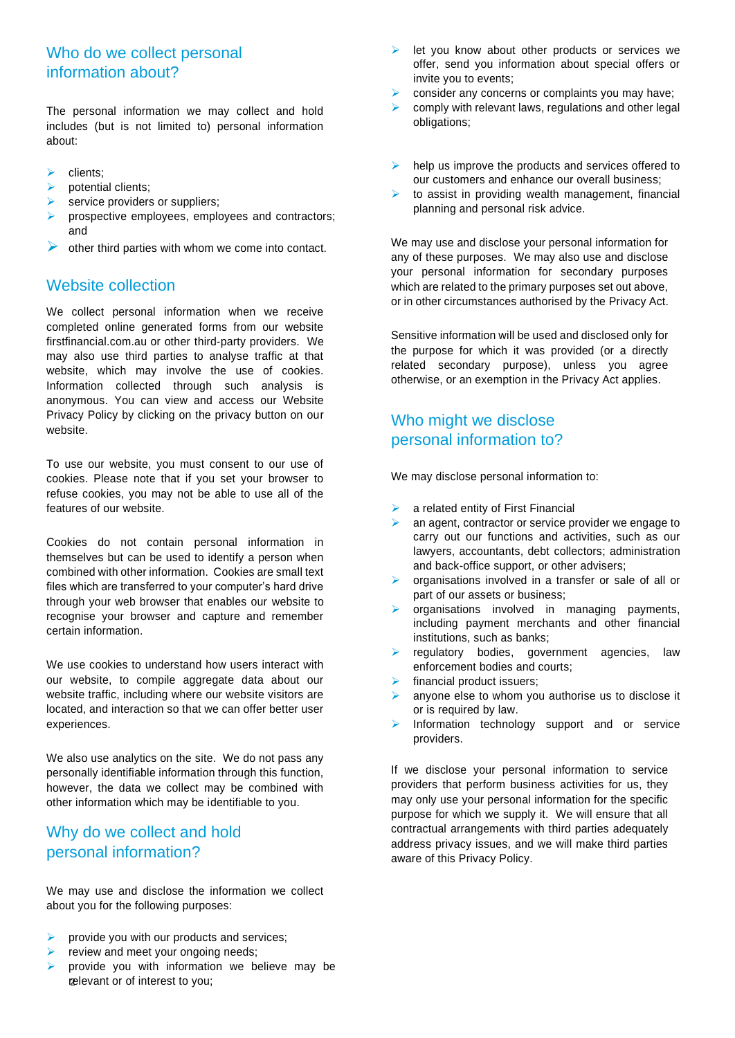# Who do we collect personal information about?

The personal information we may collect and hold includes (but is not limited to) personal information about:

- ➢ clients;
- $\triangleright$  potential clients:
- service providers or suppliers;
- prospective employees, employees and contractors; and
- other third parties with whom we come into contact.

### Website collection

We collect personal information when we receive completed online generated forms from our website firstfinancial.com.au or other third-party providers. We may also use third parties to analyse traffic at that website, which may involve the use of cookies. Information collected through such analysis is anonymous. You can view and access our Website Privacy Policy by clicking on the privacy button on our website.

To use our website, you must consent to our use of cookies. Please note that if you set your browser to refuse cookies, you may not be able to use all of the features of our website.

Cookies do not contain personal information in themselves but can be used to identify a person when combined with other information. Cookies are small text files which are transferred to your computer's hard drive through your web browser that enables our website to recognise your browser and capture and remember certain information.

We use cookies to understand how users interact with our website, to compile aggregate data about our website traffic, including where our website visitors are located, and interaction so that we can offer better user experiences.

We also use analytics on the site. We do not pass any personally identifiable information through this function, however, the data we collect may be combined with other information which may be identifiable to you.

# Why do we collect and hold personal information?

We may use and disclose the information we collect about you for the following purposes:

- ➢ provide you with our products and services;
- review and meet your ongoing needs;
- 2 relevant or of interest to you; provide you with information we believe may be
- let you know about other products or services we offer, send you information about special offers or invite you to events;
- ➢ consider any concerns or complaints you may have;
- comply with relevant laws, regulations and other legal obligations;
- $\triangleright$  help us improve the products and services offered to our customers and enhance our overall business;
- to assist in providing wealth management, financial planning and personal risk advice.

We may use and disclose your personal information for any of these purposes. We may also use and disclose your personal information for secondary purposes which are related to the primary purposes set out above, or in other circumstances authorised by the Privacy Act.

Sensitive information will be used and disclosed only for the purpose for which it was provided (or a directly related secondary purpose), unless you agree otherwise, or an exemption in the Privacy Act applies.

# Who might we disclose personal information to?

We may disclose personal information to:

- $\triangleright$  a related entity of First Financial
- an agent, contractor or service provider we engage to carry out our functions and activities, such as our lawyers, accountants, debt collectors; administration and back-office support, or other advisers;
- ➢ organisations involved in a transfer or sale of all or part of our assets or business;
- organisations involved in managing payments, including payment merchants and other financial institutions, such as banks;
- ➢ regulatory bodies, government agencies, law enforcement bodies and courts;
- financial product issuers;
- ➢ anyone else to whom you authorise us to disclose it or is required by law.
- Information technology support and or service providers.

If we disclose your personal information to service providers that perform business activities for us, they may only use your personal information for the specific purpose for which we supply it. We will ensure that all contractual arrangements with third parties adequately address privacy issues, and we will make third parties aware of this Privacy Policy.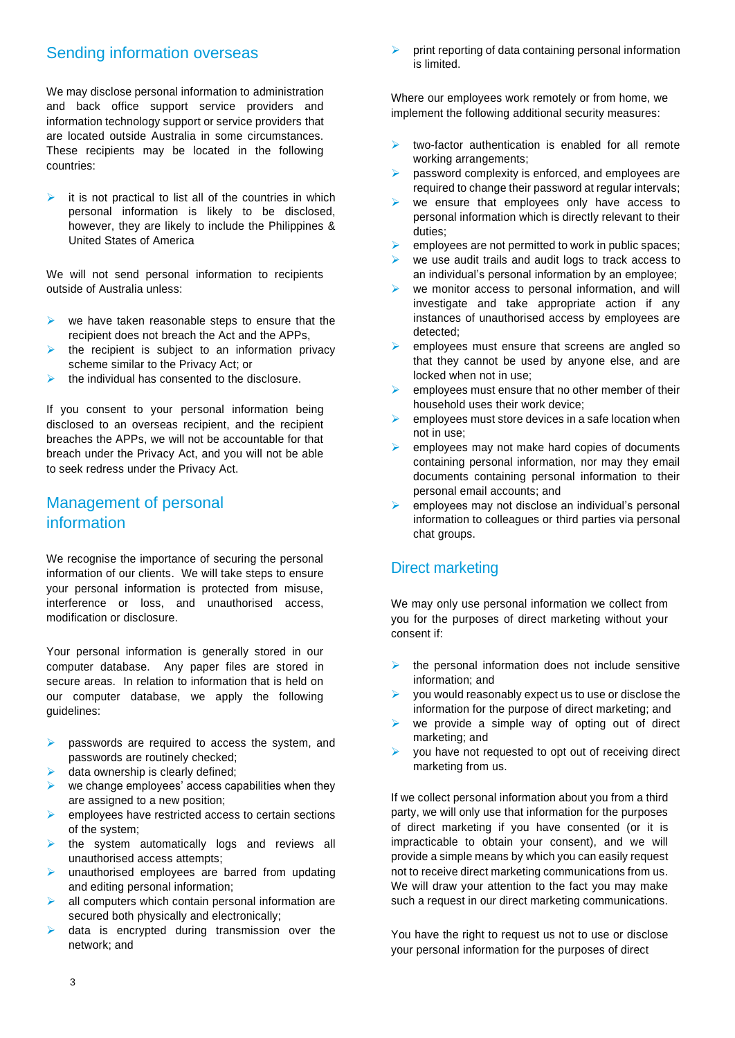### Sending information overseas

We may disclose personal information to administration and back office support service providers and information technology support or service providers that are located outside Australia in some circumstances. These recipients may be located in the following countries:

it is not practical to list all of the countries in which personal information is likely to be disclosed, however, they are likely to include the Philippines & United States of America

We will not send personal information to recipients outside of Australia unless:

- we have taken reasonable steps to ensure that the recipient does not breach the Act and the APPs,
- the recipient is subject to an information privacy scheme similar to the Privacy Act; or
- ➢ the individual has consented to the disclosure.

If you consent to your personal information being disclosed to an overseas recipient, and the recipient breaches the APPs, we will not be accountable for that breach under the Privacy Act, and you will not be able to seek redress under the Privacy Act.

# Management of personal information

We recognise the importance of securing the personal information of our clients. We will take steps to ensure your personal information is protected from misuse, interference or loss, and unauthorised access, modification or disclosure.

Your personal information is generally stored in our computer database. Any paper files are stored in secure areas. In relation to information that is held on our computer database, we apply the following guidelines:

- passwords are required to access the system, and passwords are routinely checked;
- data ownership is clearly defined;
- we change employees' access capabilities when they are assigned to a new position;
- ➢ employees have restricted access to certain sections of the system;
- ➢ the system automatically logs and reviews all unauthorised access attempts;
- ➢ unauthorised employees are barred from updating and editing personal information;
- all computers which contain personal information are secured both physically and electronically;
- data is encrypted during transmission over the network; and

➢ print reporting of data containing personal information is limited.

Where our employees work remotely or from home, we implement the following additional security measures:

- $\triangleright$  two-factor authentication is enabled for all remote working arrangements;
- ➢ password complexity is enforced, and employees are required to change their password at regular intervals;
- ➢ we ensure that employees only have access to personal information which is directly relevant to their duties;
- employees are not permitted to work in public spaces;
- we use audit trails and audit logs to track access to an individual's personal information by an employee;
- we monitor access to personal information, and will investigate and take appropriate action if any instances of unauthorised access by employees are detected;
- ➢ employees must ensure that screens are angled so that they cannot be used by anyone else, and are locked when not in use;
- ➢ employees must ensure that no other member of their household uses their work device;
- employees must store devices in a safe location when not in use;
- employees may not make hard copies of documents containing personal information, nor may they email documents containing personal information to their personal email accounts; and
- employees may not disclose an individual's personal information to colleagues or third parties via personal chat groups.

# Direct marketing

We may only use personal information we collect from you for the purposes of direct marketing without your consent if:

- $\triangleright$  the personal information does not include sensitive information; and
- ➢ you would reasonably expect us to use or disclose the information for the purpose of direct marketing; and
- $\triangleright$  we provide a simple way of opting out of direct marketing; and
- you have not requested to opt out of receiving direct marketing from us.

If we collect personal information about you from a third party, we will only use that information for the purposes of direct marketing if you have consented (or it is impracticable to obtain your consent), and we will provide a simple means by which you can easily request not to receive direct marketing communications from us. We will draw your attention to the fact you may make such a request in our direct marketing communications.

You have the right to request us not to use or disclose your personal information for the purposes of direct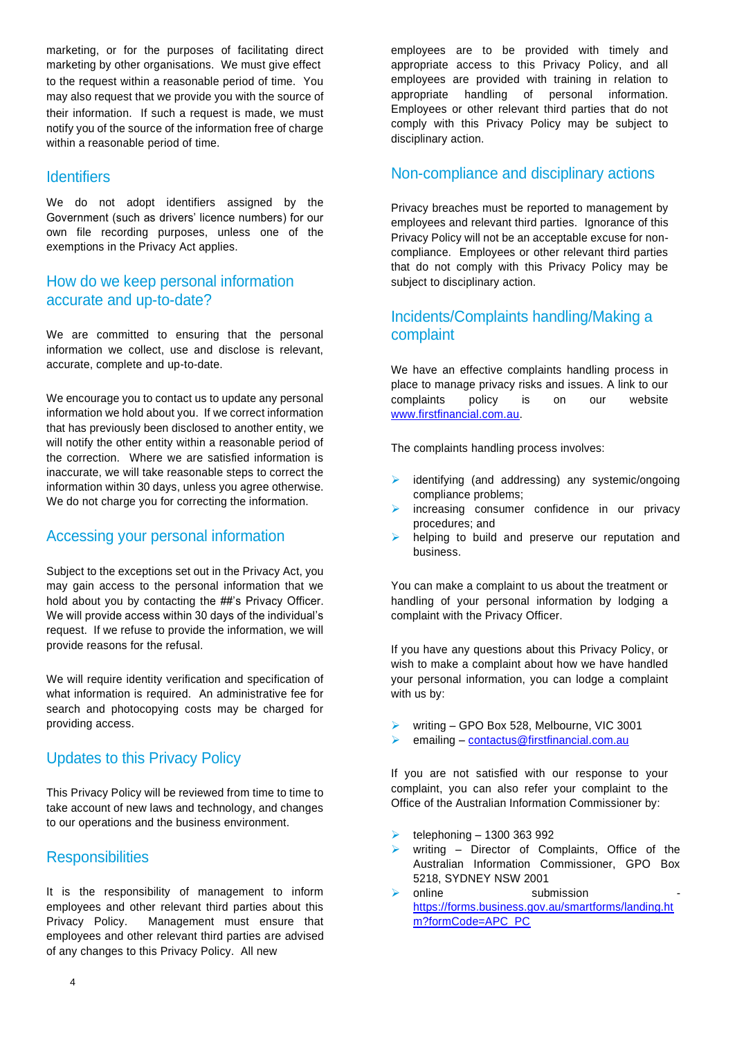marketing, or for the purposes of facilitating direct marketing by other organisations. We must give effect to the request within a reasonable period of time. You may also request that we provide you with the source of their information. If such a request is made, we must notify you of the source of the information free of charge within a reasonable period of time.

#### **Identifiers**

We do not adopt identifiers assigned by the Government (such as drivers' licence numbers) for our own file recording purposes, unless one of the exemptions in the Privacy Act applies.

## How do we keep personal information accurate and up-to-date?

We are committed to ensuring that the personal information we collect, use and disclose is relevant, accurate, complete and up-to-date.

We encourage you to contact us to update any personal information we hold about you. If we correct information that has previously been disclosed to another entity, we will notify the other entity within a reasonable period of the correction. Where we are satisfied information is inaccurate, we will take reasonable steps to correct the information within 30 days, unless you agree otherwise. We do not charge you for correcting the information.

## Accessing your personal information

Subject to the exceptions set out in the Privacy Act, you may gain access to the personal information that we hold about you by contacting the ##'s Privacy Officer. We will provide access within 30 days of the individual's request. If we refuse to provide the information, we will provide reasons for the refusal.

We will require identity verification and specification of what information is required. An administrative fee for search and photocopying costs may be charged for providing access.

## Updates to this Privacy Policy

This Privacy Policy will be reviewed from time to time to take account of new laws and technology, and changes to our operations and the business environment.

## **Responsibilities**

It is the responsibility of management to inform employees and other relevant third parties about this Privacy Policy. Management must ensure that employees and other relevant third parties are advised of any changes to this Privacy Policy. All new

employees are to be provided with timely and appropriate access to this Privacy Policy, and all employees are provided with training in relation to appropriate handling of personal information. Employees or other relevant third parties that do not comply with this Privacy Policy may be subject to disciplinary action.

#### Non-compliance and disciplinary actions

Privacy breaches must be reported to management by employees and relevant third parties. Ignorance of this Privacy Policy will not be an acceptable excuse for noncompliance. Employees or other relevant third parties that do not comply with this Privacy Policy may be subject to disciplinary action.

# Incidents/Complaints handling/Making a complaint

We have an effective complaints handling process in place to manage privacy risks and issues. A link to our complaints policy is on our website [www.firstfinancial.com.au.](http://www.firstfinancial.com.au/)

The complaints handling process involves:

- ➢ identifying (and addressing) any systemic/ongoing compliance problems;
- increasing consumer confidence in our privacy procedures; and
- helping to build and preserve our reputation and business.

You can make a complaint to us about the treatment or handling of your personal information by lodging a complaint with the Privacy Officer.

If you have any questions about this Privacy Policy, or wish to make a complaint about how we have handled your personal information, you can lodge a complaint with us by:

- writing GPO Box 528, Melbourne, VIC 3001
- ➢ emailing [contactus@firstfinancial.com.au](mailto:contactus@firstfinancial.com.au)

If you are not satisfied with our response to your complaint, you can also refer your complaint to the Office of the Australian Information Commissioner by:

- ➢ telephoning 1300 363 992
- writing Director of Complaints, Office of the Australian Information Commissioner, GPO Box 5218, SYDNEY NSW 2001
- online submission [https://forms.business.gov.au/smartforms/landing.ht](https://forms.business.gov.au/smartforms/landing.htm?formCode=APC_PC) [m?formCode=APC\\_PC](https://forms.business.gov.au/smartforms/landing.htm?formCode=APC_PC)